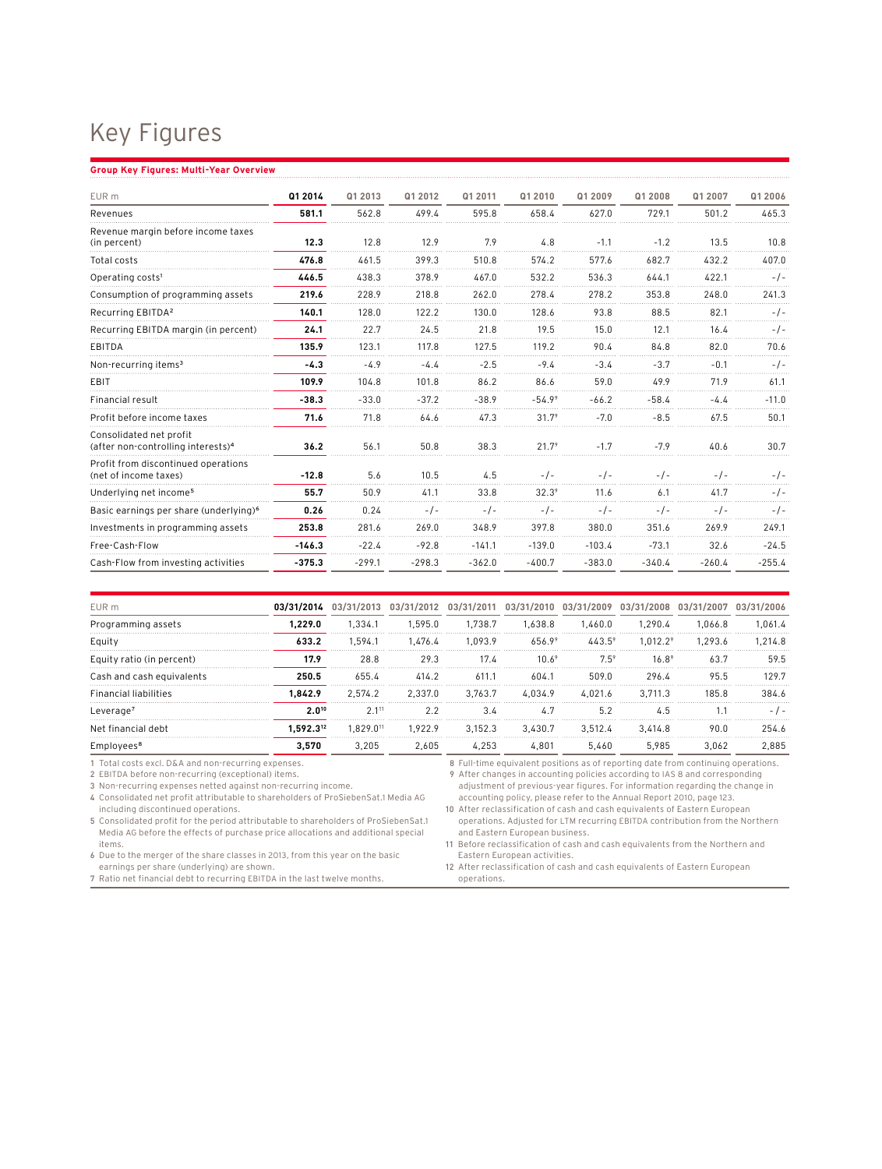## Key Figures

## **Group Key Figures: Multi-Year Overview**

| EUR m                                                                     | Q1 2014  | Q1 2013  | Q1 2012  | Q1 2011  | Q1 2010  | Q1 2009  | Q1 2008  | Q1 2007  | Q1 2006  |
|---------------------------------------------------------------------------|----------|----------|----------|----------|----------|----------|----------|----------|----------|
| Revenues                                                                  | 581.1    | 562.8    | 499.4    | 595.8    | 658.4    | 627.0    | 729.1    | 501.2    | 465.3    |
| Revenue margin before income taxes<br>(in percent)                        | 12.3     | 12.8     | 12.9     | 7.9      | 4.8      | $-1.1$   | $-1.2$   | 13.5     | 10.8     |
| Total costs                                                               | 476.8    | 461.5    | 399.3    | 510.8    | 574.2    | 577.6    | 682.7    | 432.2    | 407.0    |
| Operating costs <sup>1</sup>                                              | 446.5    | 438.3    | 378.9    | 467.0    | 532.2    | 536.3    | 644.1    | 422.1    | $-1-$    |
| Consumption of programming assets                                         | 219.6    | 228.9    | 218.8    | 262.0    | 278.4    | 278.2    | 353.8    | 248.0    | 241.3    |
| Recurring EBITDA <sup>2</sup>                                             | 140.1    | 128.0    | 122.2    | 130.0    | 128.6    | 93.8     | 88.5     | 82.1     | $-1$ -   |
| Recurring EBITDA margin (in percent)                                      | 24.1     | 22.7     | 24.5     | 21.8     | 19.5     | 15.0     | 12.1     | 16.4     | $-1-$    |
| EBITDA                                                                    | 135.9    | 123.1    | 117.8    | 127.5    | 119.2    | 90.4     | 84.8     | 82.0     | 70.6     |
| Non-recurring items <sup>3</sup>                                          | $-4.3$   | $-4.9$   | $-4.4$   | $-2.5$   | $-9.4$   | $-3.4$   | $-3.7$   | $-0.1$   | $-/-$    |
| EBIT                                                                      | 109.9    | 104.8    | 101.8    | 86.2     | 86.6     | 59.0     | 49.9     | 71.9     | 61.1     |
| Financial result                                                          | $-38.3$  | $-33.0$  | $-37.2$  | $-38.9$  | $-54.99$ | $-66.2$  | $-58.4$  | $-4.4$   | $-11.0$  |
| Profit before income taxes                                                | 71.6     | 71.8     | 64.6     | 47.3     | $31.7^9$ | $-7.0$   | $-8.5$   | 67.5     | 50.1     |
| Consolidated net profit<br>(after non-controlling interests) <sup>4</sup> | 36.2     | 56.1     | 50.8     | 38.3     | $21.7^9$ | $-1.7$   | $-7.9$   | 40.6     | 30.7     |
| Profit from discontinued operations<br>(net of income taxes)              | $-12.8$  | 5.6      | 10.5     | 4.5      | $-/-$    | $-1-$    | $-1-$    | $-1$ -   | $-/-$    |
| Underlying net income <sup>5</sup>                                        | 55.7     | 50.9     | 41.1     | 33.8     | $32.3^9$ | 11.6     | 6.1      | 41.7     | $-1-$    |
| Basic earnings per share (underlying) <sup>6</sup>                        | 0.26     | 0.24     | $-1-$    | $-1$     | $-1-$    | -7-      | -7-      | $-/-$    | $-1-$    |
| Investments in programming assets                                         | 253.8    | 281.6    | 269.0    | 348.9    | 397.8    | 380.0    | 351.6    | 269.9    | 249.1    |
| Free-Cash-Flow                                                            | $-146.3$ | $-22.4$  | $-92.8$  | $-141.1$ | $-139.0$ | $-103.4$ | $-73.1$  | 32.6     | $-24.5$  |
| Cash-Flow from investing activities                                       | $-375.3$ | $-299.1$ | $-298.3$ | $-362.0$ | $-400.7$ | $-383.0$ | $-340.4$ | $-260.4$ | $-255.4$ |

| EUR m                        | 03/31/2014 |           |         |         | 03/31/2013 03/31/2012 03/31/2011 03/31/2010 03/31/2009 03/31/2008 |                 |                        | 03/31/2007 03/31/2006 |         |
|------------------------------|------------|-----------|---------|---------|-------------------------------------------------------------------|-----------------|------------------------|-----------------------|---------|
| Programming assets           | 1.229.0    | 1.334.1   | 1.595.0 | 1.738.7 | 1.638.8                                                           | 1.460.0         | 1.290.4                | 1.066.8               | 1.061.4 |
| Eauity                       | 633.2      | 1.594.1   | 1.476.4 | 1.093.9 | 656.99                                                            | $443.5^{\circ}$ | $1.012.2$ <sup>9</sup> | 1.293.6               | 1.214.8 |
| Equity ratio (in percent)    | 17.9       | 28.8      | 29.3    | 17.4    | 10.6 <sup>9</sup>                                                 | $7.5^{\circ}$   | $16.8^9$               | 63.7                  | 59.5    |
| Cash and cash equivalents    | 250.5      | 655.4     | 414.2   | 611.1   | 604.1                                                             | 509.0           | 296.4                  | 95.5                  | 1297    |
| <b>Financial liabilities</b> | .842.9     | 2.574.2   | 2.337.0 | 3.763.7 | 4.034.9                                                           | 4.021.6         | 3.711.3                | 185.8                 | 384.6   |
| Leverage <sup>7</sup>        | 2.010      | 2.111     | 2.2     | 3.4     | 4.7                                                               | 5.2             | 4.5                    |                       |         |
| Net financial debt           | .592.312   | 1.829.011 | 1.922.9 | 3.152.3 | 3.430.7                                                           | 3.512.4         | 3.414.8                | 90.0                  | 254.6   |
| Employee:                    | 3.570      | 3.205     | 2.605   | 4.253   | 4.801                                                             | 5.460           | 5.985                  | 3.062                 | 2.885   |

1 Total costs excl. D&A and non-recurring expenses.

2 EBITDA before non-recurring (exceptional) items.

3 Non-recurring expenses netted against non-recurring income.

4 Consolidated net profit attributable to shareholders of ProSiebenSat.1 Media AG including discontinued operations.

5 Consolidated profit for the period attributable to shareholders of ProSiebenSat.1 Media AG before the effects of purchase price allocations and additional special

items. 6 Due to the merger of the share classes in 2013, from this year on the basic

earnings per share (underlying) are shown. 7 Ratio net financial debt to recurring EBITDA in the last twelve months.

8 Full-time equivalent positions as of reporting date from continuing operations. 9 After changes in accounting policies according to IAS 8 and corresponding adjustment of previous-year figures. For information regarding the change in accounting policy, please refer to the Annual Report 2010, page 123.

10 After reclassification of cash and cash equivalents of Eastern European operations. Adjusted for LTM recurring EBITDA contribution from the Northern and Eastern European business.

11 Before reclassification of cash and cash equivalents from the Northern and Eastern European activities.

12 After reclassification of cash and cash equivalents of Eastern European operations.